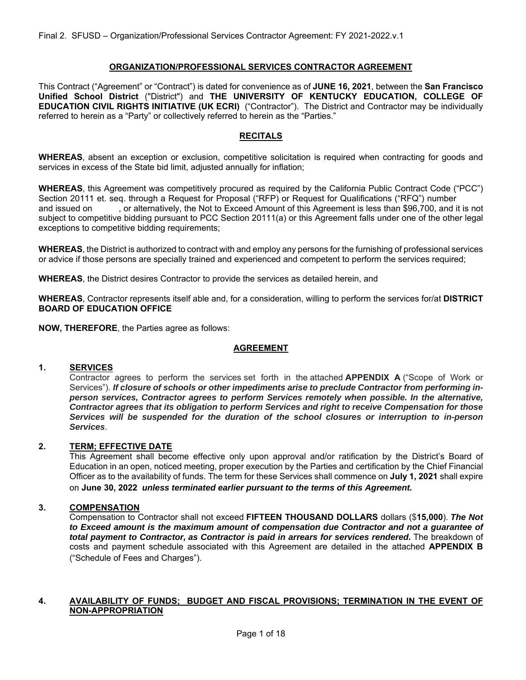### **ORGANIZATION/PROFESSIONAL SERVICES CONTRACTOR AGREEMENT**

This Contract ("Agreement" or "Contract") is dated for convenience as of **JUNE 16, 2021**, between the **San Francisco Unified School District** ("District") and **THE UNIVERSITY OF KENTUCKY EDUCATION, COLLEGE OF EDUCATION CIVIL RIGHTS INITIATIVE (UK ECRI)** ("Contractor"). The District and Contractor may be individually referred to herein as a "Party" or collectively referred to herein as the "Parties."

# **RECITALS**

**WHEREAS**, absent an exception or exclusion, competitive solicitation is required when contracting for goods and services in excess of the State bid limit, adjusted annually for inflation;

**WHEREAS**, this Agreement was competitively procured as required by the California Public Contract Code ("PCC") Section 20111 et. seq. through a Request for Proposal ("RFP) or Request for Qualifications ("RFQ") number and issued on , or alternatively, the Not to Exceed Amount of this Agreement is less than \$96,700, and it is not subject to competitive bidding pursuant to PCC Section 20111(a) or this Agreement falls under one of the other legal exceptions to competitive bidding requirements;

**WHEREAS**, the District is authorized to contract with and employ any persons for the furnishing of professional services or advice if those persons are specially trained and experienced and competent to perform the services required;

**WHEREAS**, the District desires Contractor to provide the services as detailed herein, and

**WHEREAS**, Contractor represents itself able and, for a consideration, willing to perform the services for/at **DISTRICT BOARD OF EDUCATION OFFICE** 

**NOW, THEREFORE**, the Parties agree as follows:

# **AGREEMENT**

#### **1. SERVICES**

Contractor agrees to perform the services set forth in the attached **APPENDIX A** ("Scope of Work or Services"). *If closure of schools or other impediments arise to preclude Contractor from performing inperson services, Contractor agrees to perform Services remotely when possible. In the alternative, Contractor agrees that its obligation to perform Services and right to receive Compensation for those Services will be suspended for the duration of the school closures or interruption to in-person Services*.

# **2. TERM; EFFECTIVE DATE**

This Agreement shall become effective only upon approval and/or ratification by the District's Board of Education in an open, noticed meeting, proper execution by the Parties and certification by the Chief Financial Officer as to the availability of funds. The term for these Services shall commence on **July 1, 2021** shall expire on **June 30, 2022** *unless terminated earlier pursuant to the terms of this Agreement.*

#### **3. COMPENSATION**

Compensation to Contractor shall not exceed **FIFTEEN THOUSAND DOLLARS** dollars (\$**15,000**). *The Not to Exceed amount is the maximum amount of compensation due Contractor and not a guarantee of*  total payment to Contractor, as Contractor is paid in arrears for services rendered. The breakdown of costs and payment schedule associated with this Agreement are detailed in the attached **APPENDIX B** ("Schedule of Fees and Charges").

#### **4. AVAILABILITY OF FUNDS; BUDGET AND FISCAL PROVISIONS; TERMINATION IN THE EVENT OF NON-APPROPRIATION**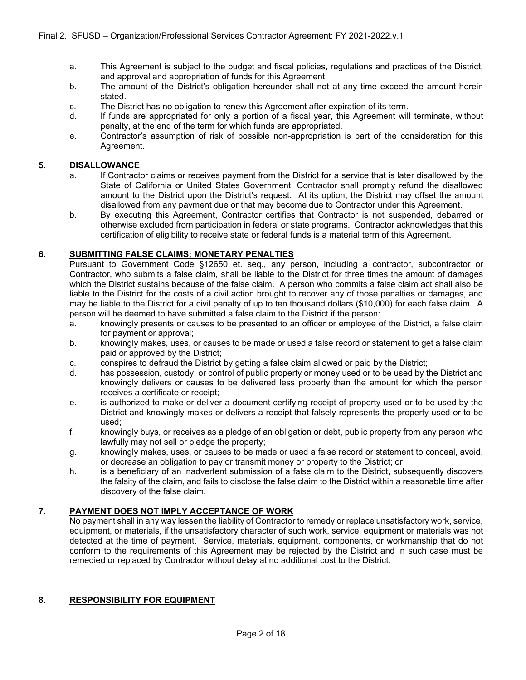- a. This Agreement is subject to the budget and fiscal policies, regulations and practices of the District, and approval and appropriation of funds for this Agreement.
- b. The amount of the District's obligation hereunder shall not at any time exceed the amount herein stated.
- c. The District has no obligation to renew this Agreement after expiration of its term.
- d. If funds are appropriated for only a portion of a fiscal year, this Agreement will terminate, without penalty, at the end of the term for which funds are appropriated.
- e. Contractor's assumption of risk of possible non-appropriation is part of the consideration for this Agreement.

#### **5. DISALLOWANCE**

- a. If Contractor claims or receives payment from the District for a service that is later disallowed by the State of California or United States Government, Contractor shall promptly refund the disallowed amount to the District upon the District's request. At its option, the District may offset the amount disallowed from any payment due or that may become due to Contractor under this Agreement.
- b. By executing this Agreement, Contractor certifies that Contractor is not suspended, debarred or otherwise excluded from participation in federal or state programs. Contractor acknowledges that this certification of eligibility to receive state or federal funds is a material term of this Agreement.

# **6. SUBMITTING FALSE CLAIMS; MONETARY PENALTIES**

Pursuant to Government Code §12650 et. seq., any person, including a contractor, subcontractor or Contractor, who submits a false claim, shall be liable to the District for three times the amount of damages which the District sustains because of the false claim. A person who commits a false claim act shall also be liable to the District for the costs of a civil action brought to recover any of those penalties or damages, and may be liable to the District for a civil penalty of up to ten thousand dollars (\$10,000) for each false claim. A person will be deemed to have submitted a false claim to the District if the person:

- a. knowingly presents or causes to be presented to an officer or employee of the District, a false claim for payment or approval;
- b. knowingly makes, uses, or causes to be made or used a false record or statement to get a false claim paid or approved by the District;
- c. conspires to defraud the District by getting a false claim allowed or paid by the District;
- d. has possession, custody, or control of public property or money used or to be used by the District and knowingly delivers or causes to be delivered less property than the amount for which the person receives a certificate or receipt;
- e. is authorized to make or deliver a document certifying receipt of property used or to be used by the District and knowingly makes or delivers a receipt that falsely represents the property used or to be used;
- f. knowingly buys, or receives as a pledge of an obligation or debt, public property from any person who lawfully may not sell or pledge the property;
- g. knowingly makes, uses, or causes to be made or used a false record or statement to conceal, avoid, or decrease an obligation to pay or transmit money or property to the District; or
- h. is a beneficiary of an inadvertent submission of a false claim to the District, subsequently discovers the falsity of the claim, and fails to disclose the false claim to the District within a reasonable time after discovery of the false claim.

# **7. PAYMENT DOES NOT IMPLY ACCEPTANCE OF WORK**

No payment shall in any way lessen the liability of Contractor to remedy or replace unsatisfactory work, service, equipment, or materials, if the unsatisfactory character of such work, service, equipment or materials was not detected at the time of payment. Service, materials, equipment, components, or workmanship that do not conform to the requirements of this Agreement may be rejected by the District and in such case must be remedied or replaced by Contractor without delay at no additional cost to the District.

# **8. RESPONSIBILITY FOR EQUIPMENT**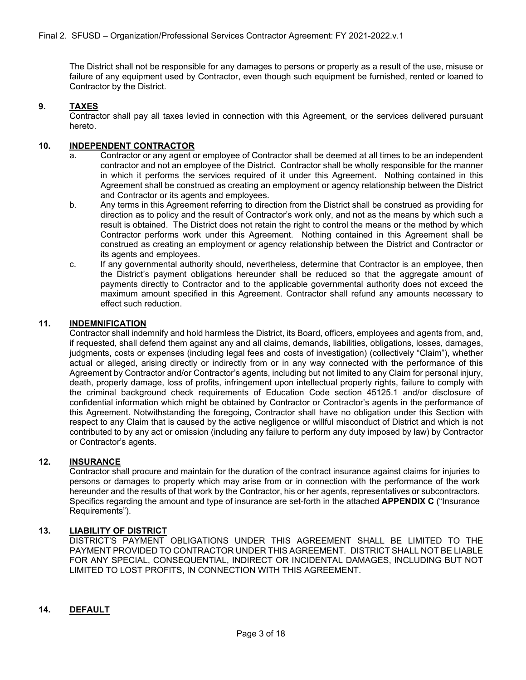The District shall not be responsible for any damages to persons or property as a result of the use, misuse or failure of any equipment used by Contractor, even though such equipment be furnished, rented or loaned to Contractor by the District.

# **9. TAXES**

Contractor shall pay all taxes levied in connection with this Agreement, or the services delivered pursuant hereto.

### **10. INDEPENDENT CONTRACTOR**

- a. Contractor or any agent or employee of Contractor shall be deemed at all times to be an independent contractor and not an employee of the District. Contractor shall be wholly responsible for the manner in which it performs the services required of it under this Agreement. Nothing contained in this Agreement shall be construed as creating an employment or agency relationship between the District and Contractor or its agents and employees.
- b. Any terms in this Agreement referring to direction from the District shall be construed as providing for direction as to policy and the result of Contractor's work only, and not as the means by which such a result is obtained. The District does not retain the right to control the means or the method by which Contractor performs work under this Agreement. Nothing contained in this Agreement shall be construed as creating an employment or agency relationship between the District and Contractor or its agents and employees.
- c. If any governmental authority should, nevertheless, determine that Contractor is an employee, then the District's payment obligations hereunder shall be reduced so that the aggregate amount of payments directly to Contractor and to the applicable governmental authority does not exceed the maximum amount specified in this Agreement. Contractor shall refund any amounts necessary to effect such reduction.

#### **11. INDEMNIFICATION**

Contractor shall indemnify and hold harmless the District, its Board, officers, employees and agents from, and, if requested, shall defend them against any and all claims, demands, liabilities, obligations, losses, damages, judgments, costs or expenses (including legal fees and costs of investigation) (collectively "Claim"), whether actual or alleged, arising directly or indirectly from or in any way connected with the performance of this Agreement by Contractor and/or Contractor's agents, including but not limited to any Claim for personal injury, death, property damage, loss of profits, infringement upon intellectual property rights, failure to comply with the criminal background check requirements of Education Code section 45125.1 and/or disclosure of confidential information which might be obtained by Contractor or Contractor's agents in the performance of this Agreement. Notwithstanding the foregoing, Contractor shall have no obligation under this Section with respect to any Claim that is caused by the active negligence or willful misconduct of District and which is not contributed to by any act or omission (including any failure to perform any duty imposed by law) by Contractor or Contractor's agents.

# **12. INSURANCE**

Contractor shall procure and maintain for the duration of the contract insurance against claims for injuries to persons or damages to property which may arise from or in connection with the performance of the work hereunder and the results of that work by the Contractor, his or her agents, representatives or subcontractors. Specifics regarding the amount and type of insurance are set-forth in the attached **APPENDIX C** ("Insurance Requirements").

#### **13. LIABILITY OF DISTRICT**

DISTRICT'S PAYMENT OBLIGATIONS UNDER THIS AGREEMENT SHALL BE LIMITED TO THE PAYMENT PROVIDED TO CONTRACTOR UNDER THIS AGREEMENT. DISTRICT SHALL NOT BE LIABLE FOR ANY SPECIAL, CONSEQUENTIAL, INDIRECT OR INCIDENTAL DAMAGES, INCLUDING BUT NOT LIMITED TO LOST PROFITS, IN CONNECTION WITH THIS AGREEMENT.

# **14. DEFAULT**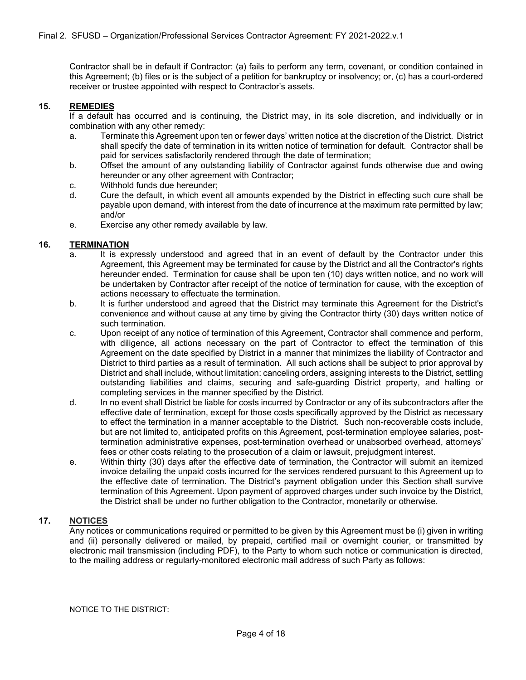Contractor shall be in default if Contractor: (a) fails to perform any term, covenant, or condition contained in this Agreement; (b) files or is the subject of a petition for bankruptcy or insolvency; or, (c) has a court-ordered receiver or trustee appointed with respect to Contractor's assets.

#### **15. REMEDIES**

If a default has occurred and is continuing, the District may, in its sole discretion, and individually or in combination with any other remedy:

- a. Terminate this Agreement upon ten or fewer days' written notice at the discretion of the District. District shall specify the date of termination in its written notice of termination for default. Contractor shall be paid for services satisfactorily rendered through the date of termination;
- b. Offset the amount of any outstanding liability of Contractor against funds otherwise due and owing hereunder or any other agreement with Contractor;
- c. Withhold funds due hereunder;
- d. Cure the default, in which event all amounts expended by the District in effecting such cure shall be payable upon demand, with interest from the date of incurrence at the maximum rate permitted by law; and/or
- e. Exercise any other remedy available by law.

#### **16. TERMINATION**

- a. It is expressly understood and agreed that in an event of default by the Contractor under this Agreement, this Agreement may be terminated for cause by the District and all the Contractor's rights hereunder ended. Termination for cause shall be upon ten (10) days written notice, and no work will be undertaken by Contractor after receipt of the notice of termination for cause, with the exception of actions necessary to effectuate the termination.
- b. It is further understood and agreed that the District may terminate this Agreement for the District's convenience and without cause at any time by giving the Contractor thirty (30) days written notice of such termination.
- c. Upon receipt of any notice of termination of this Agreement, Contractor shall commence and perform, with diligence, all actions necessary on the part of Contractor to effect the termination of this Agreement on the date specified by District in a manner that minimizes the liability of Contractor and District to third parties as a result of termination. All such actions shall be subject to prior approval by District and shall include, without limitation: canceling orders, assigning interests to the District, settling outstanding liabilities and claims, securing and safe-guarding District property, and halting or completing services in the manner specified by the District.
- d. In no event shall District be liable for costs incurred by Contractor or any of its subcontractors after the effective date of termination, except for those costs specifically approved by the District as necessary to effect the termination in a manner acceptable to the District. Such non-recoverable costs include, but are not limited to, anticipated profits on this Agreement, post-termination employee salaries, posttermination administrative expenses, post-termination overhead or unabsorbed overhead, attorneys' fees or other costs relating to the prosecution of a claim or lawsuit, prejudgment interest.
- e. Within thirty (30) days after the effective date of termination, the Contractor will submit an itemized invoice detailing the unpaid costs incurred for the services rendered pursuant to this Agreement up to the effective date of termination. The District's payment obligation under this Section shall survive termination of this Agreement. Upon payment of approved charges under such invoice by the District, the District shall be under no further obligation to the Contractor, monetarily or otherwise.

# **17. NOTICES**

Any notices or communications required or permitted to be given by this Agreement must be (i) given in writing and (ii) personally delivered or mailed, by prepaid, certified mail or overnight courier, or transmitted by electronic mail transmission (including PDF), to the Party to whom such notice or communication is directed, to the mailing address or regularly-monitored electronic mail address of such Party as follows:

NOTICE TO THE DISTRICT: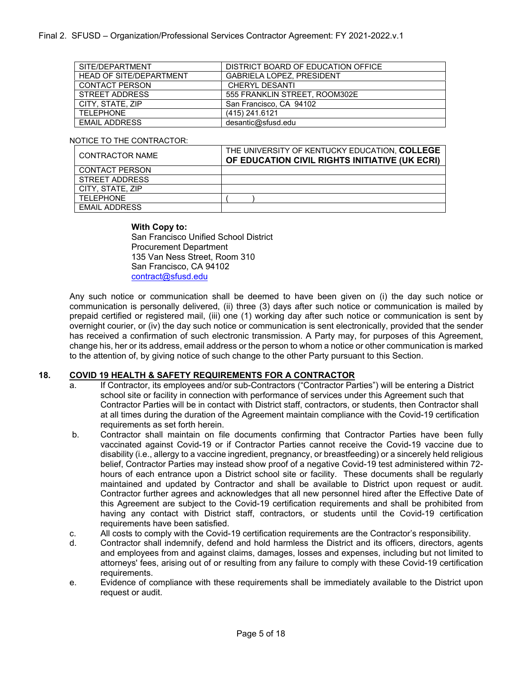| SITE/DEPARTMENT                | DISTRICT BOARD OF EDUCATION OFFICE |
|--------------------------------|------------------------------------|
| <b>HEAD OF SITE/DEPARTMENT</b> | <b>GABRIELA LOPEZ, PRESIDENT</b>   |
| CONTACT PERSON                 | <b>CHERYL DESANTI</b>              |
| STREET ADDRESS                 | 555 FRANKLIN STREET. ROOM302E      |
| CITY, STATE, ZIP               | San Francisco, CA 94102            |
| TFI FPHONF                     | $(415)$ 241.6121                   |
| <b>FMAIL ADDRESS</b>           | desantic@sfusd.edu                 |

#### NOTICE TO THE CONTRACTOR:

| CONTRACTOR NAME       | THE UNIVERSITY OF KENTUCKY EDUCATION. COLLEGE<br>OF EDUCATION CIVIL RIGHTS INITIATIVE (UK ECRI) |
|-----------------------|-------------------------------------------------------------------------------------------------|
| <b>CONTACT PERSON</b> |                                                                                                 |
| STREET ADDRESS        |                                                                                                 |
| CITY, STATE, ZIP      |                                                                                                 |
| TFI FPHONF            |                                                                                                 |
| <b>FMAIL ADDRESS</b>  |                                                                                                 |

#### **With Copy to:**

San Francisco Unified School District Procurement Department 135 Van Ness Street, Room 310 San Francisco, CA 94102 contract@sfusd.edu

Any such notice or communication shall be deemed to have been given on (i) the day such notice or communication is personally delivered, (ii) three (3) days after such notice or communication is mailed by prepaid certified or registered mail, (iii) one (1) working day after such notice or communication is sent by overnight courier, or (iv) the day such notice or communication is sent electronically, provided that the sender has received a confirmation of such electronic transmission. A Party may, for purposes of this Agreement, change his, her or its address, email address or the person to whom a notice or other communication is marked to the attention of, by giving notice of such change to the other Party pursuant to this Section.

# **18. COVID 19 HEALTH & SAFETY REQUIREMENTS FOR A CONTRACTOR**

- a. If Contractor, its employees and/or sub-Contractors ("Contractor Parties") will be entering a District school site or facility in connection with performance of services under this Agreement such that Contractor Parties will be in contact with District staff, contractors, or students, then Contractor shall at all times during the duration of the Agreement maintain compliance with the Covid-19 certification requirements as set forth herein.
- b. Contractor shall maintain on file documents confirming that Contractor Parties have been fully vaccinated against Covid-19 or if Contractor Parties cannot receive the Covid-19 vaccine due to disability (i.e., allergy to a vaccine ingredient, pregnancy, or breastfeeding) or a sincerely held religious belief, Contractor Parties may instead show proof of a negative Covid-19 test administered within 72 hours of each entrance upon a District school site or facility. These documents shall be regularly maintained and updated by Contractor and shall be available to District upon request or audit. Contractor further agrees and acknowledges that all new personnel hired after the Effective Date of this Agreement are subject to the Covid-19 certification requirements and shall be prohibited from having any contact with District staff, contractors, or students until the Covid-19 certification requirements have been satisfied.
- c. All costs to comply with the Covid-19 certification requirements are the Contractor's responsibility.
- d. Contractor shall indemnify, defend and hold harmless the District and its officers, directors, agents and employees from and against claims, damages, losses and expenses, including but not limited to attorneys' fees, arising out of or resulting from any failure to comply with these Covid-19 certification requirements.
- e. Evidence of compliance with these requirements shall be immediately available to the District upon request or audit.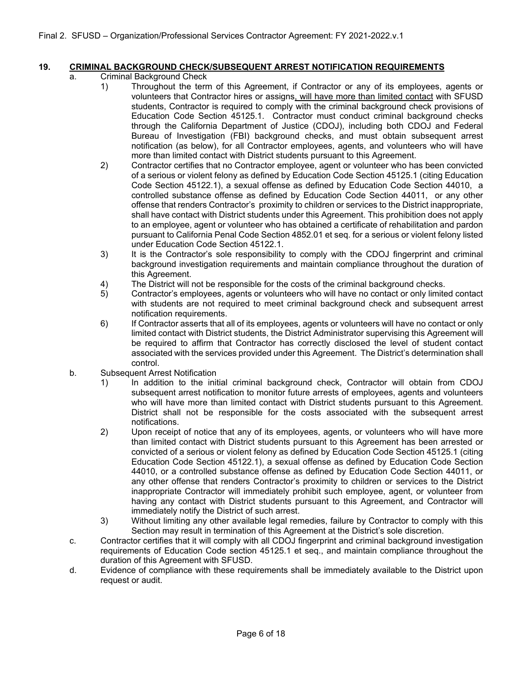# **19. CRIMINAL BACKGROUND CHECK/SUBSEQUENT ARREST NOTIFICATION REQUIREMENTS**

- a. Criminal Background Check
	- 1) Throughout the term of this Agreement, if Contractor or any of its employees, agents or volunteers that Contractor hires or assigns, will have more than limited contact with SFUSD students, Contractor is required to comply with the criminal background check provisions of Education Code Section 45125.1. Contractor must conduct criminal background checks through the California Department of Justice (CDOJ), including both CDOJ and Federal Bureau of Investigation (FBI) background checks, and must obtain subsequent arrest notification (as below), for all Contractor employees, agents, and volunteers who will have more than limited contact with District students pursuant to this Agreement.
	- 2) Contractor certifies that no Contractor employee, agent or volunteer who has been convicted of a serious or violent felony as defined by Education Code Section 45125.1 (citing Education Code Section 45122.1), a sexual offense as defined by Education Code Section 44010, a controlled substance offense as defined by Education Code Section 44011, or any other offense that renders Contractor's proximity to children or services to the District inappropriate, shall have contact with District students under this Agreement. This prohibition does not apply to an employee, agent or volunteer who has obtained a certificate of rehabilitation and pardon pursuant to California Penal Code Section 4852.01 et seq. for a serious or violent felony listed under Education Code Section 45122.1.
	- 3) It is the Contractor's sole responsibility to comply with the CDOJ fingerprint and criminal background investigation requirements and maintain compliance throughout the duration of this Agreement.
	- 4) The District will not be responsible for the costs of the criminal background checks.
	- 5) Contractor's employees, agents or volunteers who will have no contact or only limited contact with students are not required to meet criminal background check and subsequent arrest notification requirements.
	- 6) If Contractor asserts that all of its employees, agents or volunteers will have no contact or only limited contact with District students, the District Administrator supervising this Agreement will be required to affirm that Contractor has correctly disclosed the level of student contact associated with the services provided under this Agreement. The District's determination shall control.
- b. Subsequent Arrest Notification
	- 1) In addition to the initial criminal background check, Contractor will obtain from CDOJ subsequent arrest notification to monitor future arrests of employees, agents and volunteers who will have more than limited contact with District students pursuant to this Agreement. District shall not be responsible for the costs associated with the subsequent arrest notifications.
	- 2) Upon receipt of notice that any of its employees, agents, or volunteers who will have more than limited contact with District students pursuant to this Agreement has been arrested or convicted of a serious or violent felony as defined by Education Code Section 45125.1 (citing Education Code Section 45122.1), a sexual offense as defined by Education Code Section 44010, or a controlled substance offense as defined by Education Code Section 44011, or any other offense that renders Contractor's proximity to children or services to the District inappropriate Contractor will immediately prohibit such employee, agent, or volunteer from having any contact with District students pursuant to this Agreement, and Contractor will immediately notify the District of such arrest.
	- 3) Without limiting any other available legal remedies, failure by Contractor to comply with this Section may result in termination of this Agreement at the District's sole discretion.
- c. Contractor certifies that it will comply with all CDOJ fingerprint and criminal background investigation requirements of Education Code section 45125.1 et seq., and maintain compliance throughout the duration of this Agreement with SFUSD.
- d. Evidence of compliance with these requirements shall be immediately available to the District upon request or audit.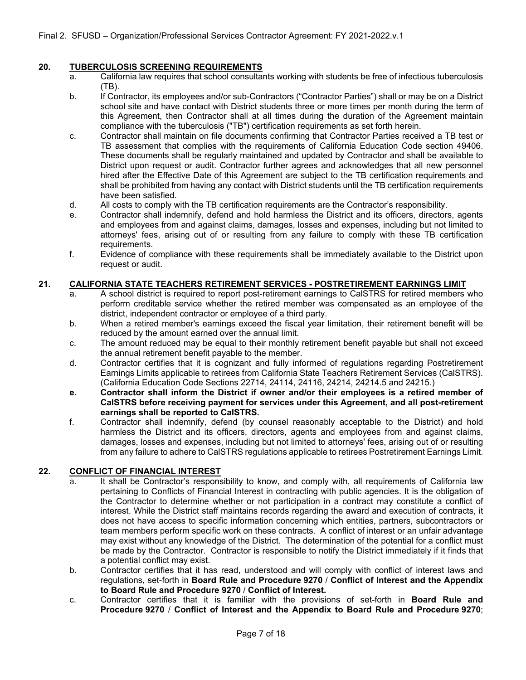# **20. TUBERCULOSIS SCREENING REQUIREMENTS**

- a. California law requires that school consultants working with students be free of infectious tuberculosis (TB).
- b. If Contractor, its employees and/or sub-Contractors ("Contractor Parties") shall or may be on a District school site and have contact with District students three or more times per month during the term of this Agreement, then Contractor shall at all times during the duration of the Agreement maintain compliance with the tuberculosis ("TB") certification requirements as set forth herein.
- c. Contractor shall maintain on file documents confirming that Contractor Parties received a TB test or TB assessment that complies with the requirements of California Education Code section 49406. These documents shall be regularly maintained and updated by Contractor and shall be available to District upon request or audit. Contractor further agrees and acknowledges that all new personnel hired after the Effective Date of this Agreement are subject to the TB certification requirements and shall be prohibited from having any contact with District students until the TB certification requirements have been satisfied.
- d. All costs to comply with the TB certification requirements are the Contractor's responsibility.
- e. Contractor shall indemnify, defend and hold harmless the District and its officers, directors, agents and employees from and against claims, damages, losses and expenses, including but not limited to attorneys' fees, arising out of or resulting from any failure to comply with these TB certification requirements.
- f. Evidence of compliance with these requirements shall be immediately available to the District upon request or audit.

# **21. CALIFORNIA STATE TEACHERS RETIREMENT SERVICES - POSTRETIREMENT EARNINGS LIMIT**

- A school district is required to report post-retirement earnings to CalSTRS for retired members who perform creditable service whether the retired member was compensated as an employee of the district, independent contractor or employee of a third party.
- b. When a retired member's earnings exceed the fiscal year limitation, their retirement benefit will be reduced by the amount earned over the annual limit.
- c. The amount reduced may be equal to their monthly retirement benefit payable but shall not exceed the annual retirement benefit payable to the member.
- d. Contractor certifies that it is cognizant and fully informed of regulations regarding Postretirement Earnings Limits applicable to retirees from California State Teachers Retirement Services (CalSTRS). (California Education Code Sections 22714, 24114, 24116, 24214, 24214.5 and 24215.)
- **e. Contractor shall inform the District if owner and/or their employees is a retired member of CalSTRS before receiving payment for services under this Agreement, and all post-retirement earnings shall be reported to CalSTRS.**
- f. Contractor shall indemnify, defend (by counsel reasonably acceptable to the District) and hold harmless the District and its officers, directors, agents and employees from and against claims, damages, losses and expenses, including but not limited to attorneys' fees, arising out of or resulting from any failure to adhere to CalSTRS regulations applicable to retirees Postretirement Earnings Limit.

# **22. CONFLICT OF FINANCIAL INTEREST**

- a. It shall be Contractor's responsibility to know, and comply with, all requirements of California law pertaining to Conflicts of Financial Interest in contracting with public agencies. It is the obligation of the Contractor to determine whether or not participation in a contract may constitute a conflict of interest. While the District staff maintains records regarding the award and execution of contracts, it does not have access to specific information concerning which entities, partners, subcontractors or team members perform specific work on these contracts. A conflict of interest or an unfair advantage may exist without any knowledge of the District. The determination of the potential for a conflict must be made by the Contractor. Contractor is responsible to notify the District immediately if it finds that a potential conflict may exist.
- b. Contractor certifies that it has read, understood and will comply with conflict of interest laws and regulations, set-forth in **Board Rule and Procedure 9270** / **Conflict of Interest and the Appendix to Board Rule and Procedure 9270** / **Conflict of Interest.**
- c. Contractor certifies that it is familiar with the provisions of set-forth in **Board Rule and Procedure 9270** / **Conflict of Interest and the Appendix to Board Rule and Procedure 9270**;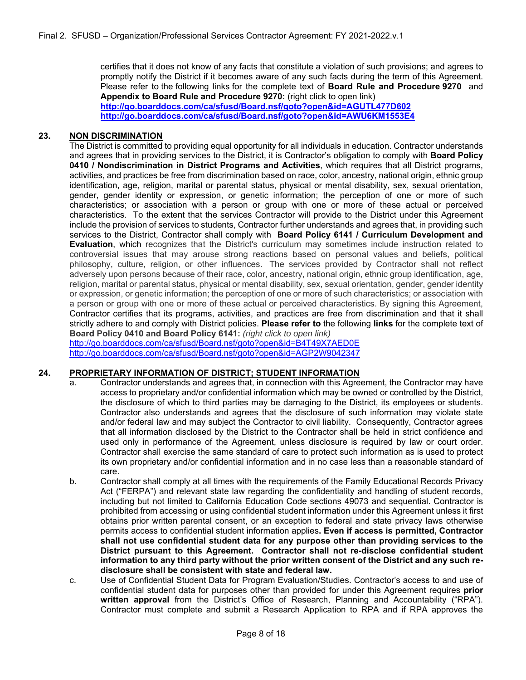certifies that it does not know of any facts that constitute a violation of such provisions; and agrees to promptly notify the District if it becomes aware of any such facts during the term of this Agreement. Please refer to the following links for the complete text of **Board Rule and Procedure 9270** and **Appendix to Board Rule and Procedure 9270:** (right click to open link) **http://go.boarddocs.com/ca/sfusd/Board.nsf/goto?open&id=AGUTL477D602**

**http://go.boarddocs.com/ca/sfusd/Board.nsf/goto?open&id=AWU6KM1553E4**

### **23. NON DISCRIMINATION**

The District is committed to providing equal opportunity for all individuals in education. Contractor understands and agrees that in providing services to the District, it is Contractor's obligation to comply with **Board Policy 0410 / Nondiscrimination in District Programs and Activities**, which requires that all District programs, activities, and practices be free from discrimination based on race, color, ancestry, national origin, ethnic group identification, age, religion, marital or parental status, physical or mental disability, sex, sexual orientation, gender, gender identity or expression, or genetic information; the perception of one or more of such characteristics; or association with a person or group with one or more of these actual or perceived characteristics. To the extent that the services Contractor will provide to the District under this Agreement include the provision of services to students, Contractor further understands and agrees that, in providing such services to the District, Contractor shall comply with **Board Policy 6141 / Curriculum Development and Evaluation**, which recognizes that the District's curriculum may sometimes include instruction related to controversial issues that may arouse strong reactions based on personal values and beliefs, political philosophy, culture, religion, or other influences. The services provided by Contractor shall not reflect adversely upon persons because of their race, color, ancestry, national origin, ethnic group identification, age, religion, marital or parental status, physical or mental disability, sex, sexual orientation, gender, gender identity or expression, or genetic information; the perception of one or more of such characteristics; or association with a person or group with one or more of these actual or perceived characteristics. By signing this Agreement, Contractor certifies that its programs, activities, and practices are free from discrimination and that it shall strictly adhere to and comply with District policies. **Please refer to** the following **links** for the complete text of **Board Policy 0410 and Board Policy 6141:** *(right click to open link)*

http://go.boarddocs.com/ca/sfusd/Board.nsf/goto?open&id=B4T49X7AED0E http://go.boarddocs.com/ca/sfusd/Board.nsf/goto?open&id=AGP2W9042347

# **24. PROPRIETARY INFORMATION OF DISTRICT; STUDENT INFORMATION**

- a. Contractor understands and agrees that, in connection with this Agreement, the Contractor may have access to proprietary and/or confidential information which may be owned or controlled by the District, the disclosure of which to third parties may be damaging to the District, its employees or students. Contractor also understands and agrees that the disclosure of such information may violate state and/or federal law and may subject the Contractor to civil liability. Consequently, Contractor agrees that all information disclosed by the District to the Contractor shall be held in strict confidence and used only in performance of the Agreement, unless disclosure is required by law or court order. Contractor shall exercise the same standard of care to protect such information as is used to protect its own proprietary and/or confidential information and in no case less than a reasonable standard of care.
- b. Contractor shall comply at all times with the requirements of the Family Educational Records Privacy Act ("FERPA") and relevant state law regarding the confidentiality and handling of student records, including but not limited to California Education Code sections 49073 and sequential. Contractor is prohibited from accessing or using confidential student information under this Agreement unless it first obtains prior written parental consent, or an exception to federal and state privacy laws otherwise permits access to confidential student information applies**. Even if access is permitted, Contractor shall not use confidential student data for any purpose other than providing services to the District pursuant to this Agreement. Contractor shall not re-disclose confidential student information to any third party without the prior written consent of the District and any such redisclosure shall be consistent with state and federal law.**
- c. Use of Confidential Student Data for Program Evaluation/Studies. Contractor's access to and use of confidential student data for purposes other than provided for under this Agreement requires **prior written approval** from the District's Office of Research, Planning and Accountability ("RPA"). Contractor must complete and submit a Research Application to RPA and if RPA approves the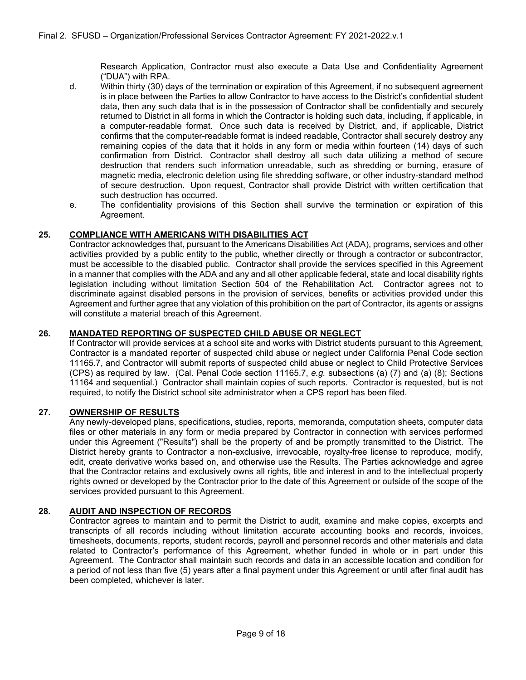Research Application, Contractor must also execute a Data Use and Confidentiality Agreement ("DUA") with RPA.

- d. Within thirty (30) days of the termination or expiration of this Agreement, if no subsequent agreement is in place between the Parties to allow Contractor to have access to the District's confidential student data, then any such data that is in the possession of Contractor shall be confidentially and securely returned to District in all forms in which the Contractor is holding such data, including, if applicable, in a computer-readable format. Once such data is received by District, and, if applicable, District confirms that the computer-readable format is indeed readable, Contractor shall securely destroy any remaining copies of the data that it holds in any form or media within fourteen (14) days of such confirmation from District. Contractor shall destroy all such data utilizing a method of secure destruction that renders such information unreadable, such as shredding or burning, erasure of magnetic media, electronic deletion using file shredding software, or other industry-standard method of secure destruction. Upon request, Contractor shall provide District with written certification that such destruction has occurred.
- e. The confidentiality provisions of this Section shall survive the termination or expiration of this Agreement.

# **25. COMPLIANCE WITH AMERICANS WITH DISABILITIES ACT**

Contractor acknowledges that, pursuant to the Americans Disabilities Act (ADA), programs, services and other activities provided by a public entity to the public, whether directly or through a contractor or subcontractor, must be accessible to the disabled public. Contractor shall provide the services specified in this Agreement in a manner that complies with the ADA and any and all other applicable federal, state and local disability rights legislation including without limitation Section 504 of the Rehabilitation Act. Contractor agrees not to discriminate against disabled persons in the provision of services, benefits or activities provided under this Agreement and further agree that any violation of this prohibition on the part of Contractor, its agents or assigns will constitute a material breach of this Agreement.

# **26. MANDATED REPORTING OF SUSPECTED CHILD ABUSE OR NEGLECT**

If Contractor will provide services at a school site and works with District students pursuant to this Agreement, Contractor is a mandated reporter of suspected child abuse or neglect under California Penal Code section 11165.7, and Contractor will submit reports of suspected child abuse or neglect to Child Protective Services (CPS) as required by law. (Cal. Penal Code section 11165.7, *e.g.* subsections (a) (7) and (a) (8); Sections 11164 and sequential.) Contractor shall maintain copies of such reports. Contractor is requested, but is not required, to notify the District school site administrator when a CPS report has been filed.

# **27. OWNERSHIP OF RESULTS**

Any newly-developed plans, specifications, studies, reports, memoranda, computation sheets, computer data files or other materials in any form or media prepared by Contractor in connection with services performed under this Agreement ("Results") shall be the property of and be promptly transmitted to the District. The District hereby grants to Contractor a non-exclusive, irrevocable, royalty-free license to reproduce, modify, edit, create derivative works based on, and otherwise use the Results. The Parties acknowledge and agree that the Contractor retains and exclusively owns all rights, title and interest in and to the intellectual property rights owned or developed by the Contractor prior to the date of this Agreement or outside of the scope of the services provided pursuant to this Agreement.

# **28. AUDIT AND INSPECTION OF RECORDS**

Contractor agrees to maintain and to permit the District to audit, examine and make copies, excerpts and transcripts of all records including without limitation accurate accounting books and records, invoices, timesheets, documents, reports, student records, payroll and personnel records and other materials and data related to Contractor's performance of this Agreement, whether funded in whole or in part under this Agreement. The Contractor shall maintain such records and data in an accessible location and condition for a period of not less than five (5) years after a final payment under this Agreement or until after final audit has been completed, whichever is later.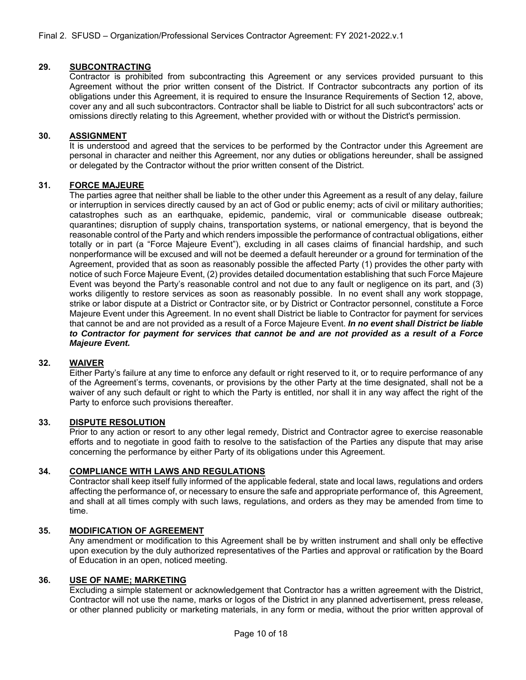# **29. SUBCONTRACTING**

Contractor is prohibited from subcontracting this Agreement or any services provided pursuant to this Agreement without the prior written consent of the District. If Contractor subcontracts any portion of its obligations under this Agreement, it is required to ensure the Insurance Requirements of Section 12, above, cover any and all such subcontractors. Contractor shall be liable to District for all such subcontractors' acts or omissions directly relating to this Agreement, whether provided with or without the District's permission.

#### **30. ASSIGNMENT**

It is understood and agreed that the services to be performed by the Contractor under this Agreement are personal in character and neither this Agreement, nor any duties or obligations hereunder, shall be assigned or delegated by the Contractor without the prior written consent of the District.

#### **31. FORCE MAJEURE**

The parties agree that neither shall be liable to the other under this Agreement as a result of any delay, failure or interruption in services directly caused by an act of God or public enemy; acts of civil or military authorities; catastrophes such as an earthquake, epidemic, pandemic, viral or communicable disease outbreak; quarantines; disruption of supply chains, transportation systems, or national emergency, that is beyond the reasonable control of the Party and which renders impossible the performance of contractual obligations, either totally or in part (a "Force Majeure Event"), excluding in all cases claims of financial hardship, and such nonperformance will be excused and will not be deemed a default hereunder or a ground for termination of the Agreement, provided that as soon as reasonably possible the affected Party (1) provides the other party with notice of such Force Majeure Event, (2) provides detailed documentation establishing that such Force Majeure Event was beyond the Party's reasonable control and not due to any fault or negligence on its part, and (3) works diligently to restore services as soon as reasonably possible. In no event shall any work stoppage, strike or labor dispute at a District or Contractor site, or by District or Contractor personnel, constitute a Force Majeure Event under this Agreement. In no event shall District be liable to Contractor for payment for services that cannot be and are not provided as a result of a Force Majeure Event. *In no event shall District be liable to Contractor for payment for services that cannot be and are not provided as a result of a Force Majeure Event.*

# **32. WAIVER**

Either Party's failure at any time to enforce any default or right reserved to it, or to require performance of any of the Agreement's terms, covenants, or provisions by the other Party at the time designated, shall not be a waiver of any such default or right to which the Party is entitled, nor shall it in any way affect the right of the Party to enforce such provisions thereafter.

#### **33. DISPUTE RESOLUTION**

Prior to any action or resort to any other legal remedy, District and Contractor agree to exercise reasonable efforts and to negotiate in good faith to resolve to the satisfaction of the Parties any dispute that may arise concerning the performance by either Party of its obligations under this Agreement.

#### **34. COMPLIANCE WITH LAWS AND REGULATIONS**

Contractor shall keep itself fully informed of the applicable federal, state and local laws, regulations and orders affecting the performance of, or necessary to ensure the safe and appropriate performance of, this Agreement, and shall at all times comply with such laws, regulations, and orders as they may be amended from time to time.

#### **35. MODIFICATION OF AGREEMENT**

Any amendment or modification to this Agreement shall be by written instrument and shall only be effective upon execution by the duly authorized representatives of the Parties and approval or ratification by the Board of Education in an open, noticed meeting.

#### **36. USE OF NAME; MARKETING**

Excluding a simple statement or acknowledgement that Contractor has a written agreement with the District, Contractor will not use the name, marks or logos of the District in any planned advertisement, press release, or other planned publicity or marketing materials, in any form or media, without the prior written approval of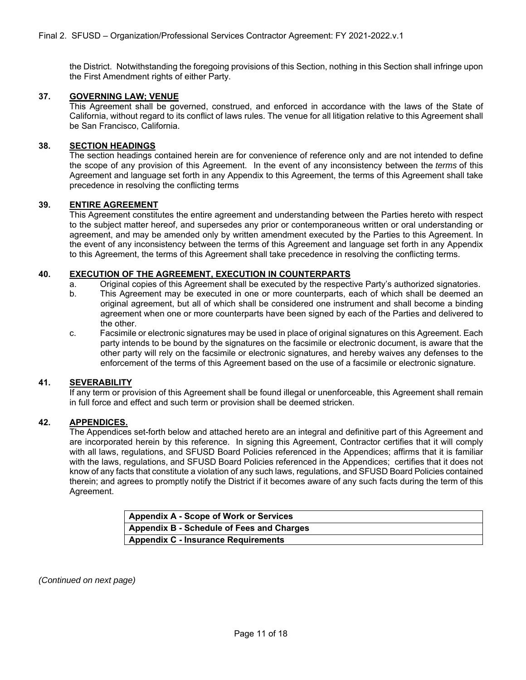the District. Notwithstanding the foregoing provisions of this Section, nothing in this Section shall infringe upon the First Amendment rights of either Party.

#### **37. GOVERNING LAW; VENUE**

This Agreement shall be governed, construed, and enforced in accordance with the laws of the State of California, without regard to its conflict of laws rules. The venue for all litigation relative to this Agreement shall be San Francisco, California.

#### **38. SECTION HEADINGS**

The section headings contained herein are for convenience of reference only and are not intended to define the scope of any provision of this Agreement. In the event of any inconsistency between the *terms* of this Agreement and language set forth in any Appendix to this Agreement, the terms of this Agreement shall take precedence in resolving the conflicting terms

#### **39. ENTIRE AGREEMENT**

This Agreement constitutes the entire agreement and understanding between the Parties hereto with respect to the subject matter hereof, and supersedes any prior or contemporaneous written or oral understanding or agreement, and may be amended only by written amendment executed by the Parties to this Agreement. In the event of any inconsistency between the terms of this Agreement and language set forth in any Appendix to this Agreement, the terms of this Agreement shall take precedence in resolving the conflicting terms.

#### **40. EXECUTION OF THE AGREEMENT, EXECUTION IN COUNTERPARTS**

- a. Original copies of this Agreement shall be executed by the respective Party's authorized signatories.
- b. This Agreement may be executed in one or more counterparts, each of which shall be deemed an original agreement, but all of which shall be considered one instrument and shall become a binding agreement when one or more counterparts have been signed by each of the Parties and delivered to the other.
- c. Facsimile or electronic signatures may be used in place of original signatures on this Agreement. Each party intends to be bound by the signatures on the facsimile or electronic document, is aware that the other party will rely on the facsimile or electronic signatures, and hereby waives any defenses to the enforcement of the terms of this Agreement based on the use of a facsimile or electronic signature.

#### **41. SEVERABILITY**

If any term or provision of this Agreement shall be found illegal or unenforceable, this Agreement shall remain in full force and effect and such term or provision shall be deemed stricken.

#### **42. APPENDICES.**

The Appendices set-forth below and attached hereto are an integral and definitive part of this Agreement and are incorporated herein by this reference. In signing this Agreement, Contractor certifies that it will comply with all laws, regulations, and SFUSD Board Policies referenced in the Appendices; affirms that it is familiar with the laws, regulations, and SFUSD Board Policies referenced in the Appendices; certifies that it does not know of any facts that constitute a violation of any such laws, regulations, and SFUSD Board Policies contained therein; and agrees to promptly notify the District if it becomes aware of any such facts during the term of this Agreement.

| <b>Appendix A - Scope of Work or Services</b> |  |
|-----------------------------------------------|--|
| Appendix B - Schedule of Fees and Charges     |  |
| <b>Appendix C - Insurance Requirements</b>    |  |

*(Continued on next page)*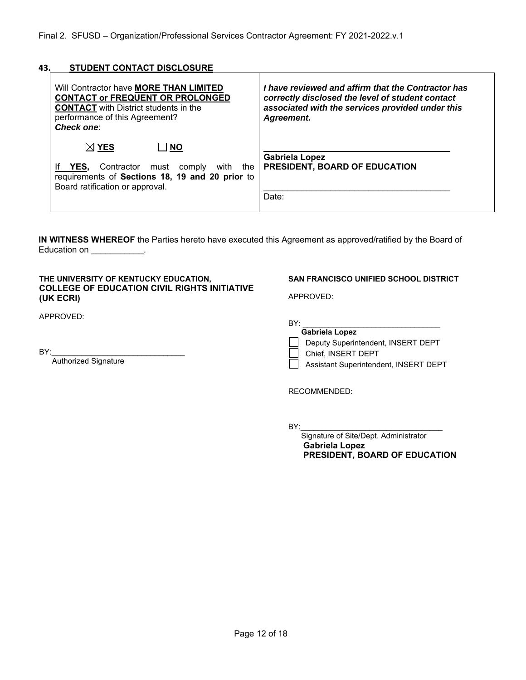### **43. STUDENT CONTACT DISCLOSURE**

| Will Contractor have <b>MORE THAN LIMITED</b><br><b>CONTACT or FREQUENT OR PROLONGED</b><br><b>CONTACT</b> with District students in the<br>performance of this Agreement?<br><b>Check one:</b> | I have reviewed and affirm that the Contractor has<br>correctly disclosed the level of student contact<br>associated with the services provided under this<br>Agreement. |  |  |  |
|-------------------------------------------------------------------------------------------------------------------------------------------------------------------------------------------------|--------------------------------------------------------------------------------------------------------------------------------------------------------------------------|--|--|--|
| $\boxtimes$ YES<br>$\Box$ NO<br>Contractor must comply<br>YES,<br>with<br>the<br>requirements of Sections 18, 19 and 20 prior to<br>Board ratification or approval.                             | <b>Gabriela Lopez</b><br>PRESIDENT, BOARD OF EDUCATION<br>Date:                                                                                                          |  |  |  |

**IN WITNESS WHEREOF** the Parties hereto have executed this Agreement as approved/ratified by the Board of Education on \_\_\_\_\_\_\_\_\_\_\_.

#### **THE UNIVERSITY OF KENTUCKY EDUCATION, COLLEGE OF EDUCATION CIVIL RIGHTS INITIATIVE (UK ECRI)**

APPROVED:

BY:\_\_\_\_\_\_\_\_\_\_\_\_\_\_\_\_\_\_\_\_\_\_\_\_\_\_\_\_\_\_\_

Authorized Signature

#### **SAN FRANCISCO UNIFIED SCHOOL DISTRICT**

APPROVED:

BY: \_\_\_\_\_\_\_\_\_\_\_\_\_\_\_\_\_\_\_\_\_\_\_\_\_\_\_\_\_\_\_\_

| <b>Gabriela Lopez</b> |  |
|-----------------------|--|
|-----------------------|--|

Deputy Superintendent, INSERT DEPT

Chief, INSERT DEPT

Assistant Superintendent, INSERT DEPT

RECOMMENDED:

BY:\_\_\_\_\_\_\_\_\_\_\_\_\_\_\_\_\_\_\_\_\_\_\_\_\_\_\_\_\_\_\_\_\_

 Signature of Site/Dept. Administrator  **Gabriela Lopez PRESIDENT, BOARD OF EDUCATION**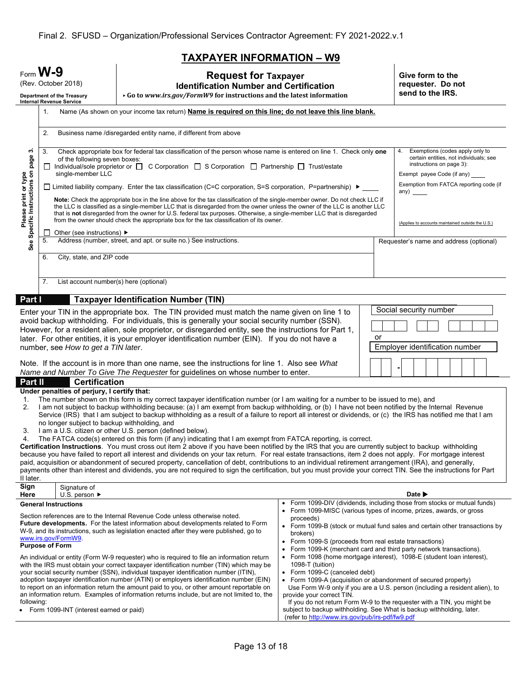# **TAXPAYER INFORMATION – W9**

| $Form$ <b>W-9</b><br><b>Request for Taxpayer</b><br>(Rev. October 2018)<br><b>Identification Number and Certification</b><br>▸ Go to www.irs.gov/FormW9 for instructions and the latest information<br>Department of the Treasury<br><b>Internal Revenue Service</b>                                                                                                                                                                                                                                                                                                                                                                                                                                                                                                                                                                                                                                                                                                                                                                                                                                                                                                                                                                                                                                                                                                                                                                                           |                                                                                                              | Give form to the<br>requester. Do not<br>send to the IRS.                                                                                                                                                                                                                                                                                                                                                                                                                                                                                                                                                                                                                                                                                                                                                                                                                    |                                                                                                                                                                                                                                                                                                                                                                                                                                                                                  |                                                                                                                                                                                                                                                                                                                 |
|----------------------------------------------------------------------------------------------------------------------------------------------------------------------------------------------------------------------------------------------------------------------------------------------------------------------------------------------------------------------------------------------------------------------------------------------------------------------------------------------------------------------------------------------------------------------------------------------------------------------------------------------------------------------------------------------------------------------------------------------------------------------------------------------------------------------------------------------------------------------------------------------------------------------------------------------------------------------------------------------------------------------------------------------------------------------------------------------------------------------------------------------------------------------------------------------------------------------------------------------------------------------------------------------------------------------------------------------------------------------------------------------------------------------------------------------------------------|--------------------------------------------------------------------------------------------------------------|------------------------------------------------------------------------------------------------------------------------------------------------------------------------------------------------------------------------------------------------------------------------------------------------------------------------------------------------------------------------------------------------------------------------------------------------------------------------------------------------------------------------------------------------------------------------------------------------------------------------------------------------------------------------------------------------------------------------------------------------------------------------------------------------------------------------------------------------------------------------------|----------------------------------------------------------------------------------------------------------------------------------------------------------------------------------------------------------------------------------------------------------------------------------------------------------------------------------------------------------------------------------------------------------------------------------------------------------------------------------|-----------------------------------------------------------------------------------------------------------------------------------------------------------------------------------------------------------------------------------------------------------------------------------------------------------------|
|                                                                                                                                                                                                                                                                                                                                                                                                                                                                                                                                                                                                                                                                                                                                                                                                                                                                                                                                                                                                                                                                                                                                                                                                                                                                                                                                                                                                                                                                | Name (As shown on your income tax return) Name is required on this line; do not leave this line blank.<br>1. |                                                                                                                                                                                                                                                                                                                                                                                                                                                                                                                                                                                                                                                                                                                                                                                                                                                                              |                                                                                                                                                                                                                                                                                                                                                                                                                                                                                  |                                                                                                                                                                                                                                                                                                                 |
| Please print or type<br>See Specific Instructions on page 3.                                                                                                                                                                                                                                                                                                                                                                                                                                                                                                                                                                                                                                                                                                                                                                                                                                                                                                                                                                                                                                                                                                                                                                                                                                                                                                                                                                                                   | 2.                                                                                                           | Business name /disregarded entity name, if different from above                                                                                                                                                                                                                                                                                                                                                                                                                                                                                                                                                                                                                                                                                                                                                                                                              |                                                                                                                                                                                                                                                                                                                                                                                                                                                                                  |                                                                                                                                                                                                                                                                                                                 |
|                                                                                                                                                                                                                                                                                                                                                                                                                                                                                                                                                                                                                                                                                                                                                                                                                                                                                                                                                                                                                                                                                                                                                                                                                                                                                                                                                                                                                                                                | 3.<br>ப<br>single-member LLC                                                                                 | Check appropriate box for federal tax classification of the person whose name is entered on line 1. Check only one<br>of the following seven boxes:<br>Individual/sole proprietor or $\Box$ C Corporation $\Box$ S Corporation $\Box$ Partnership $\Box$ Trust/estate<br>□ Limited liability company. Enter the tax classification (C=C corporation, S=S corporation, P=partnership) ▶<br>Note: Check the appropriate box in the line above for the tax classification of the single-member owner. Do not check LLC if<br>the LLC is classified as a single-member LLC that is disregarded from the owner unless the owner of the LLC is another LLC<br>that is not disregarded from the owner for U.S. federal tax purposes. Otherwise, a single-member LLC that is disregarded<br>from the owner should check the appropriate box for the tax classification of its owner. |                                                                                                                                                                                                                                                                                                                                                                                                                                                                                  |                                                                                                                                                                                                                                                                                                                 |
|                                                                                                                                                                                                                                                                                                                                                                                                                                                                                                                                                                                                                                                                                                                                                                                                                                                                                                                                                                                                                                                                                                                                                                                                                                                                                                                                                                                                                                                                | Other (see instructions) $\blacktriangleright$<br>5.                                                         | Address (number, street, and apt. or suite no.) See instructions.                                                                                                                                                                                                                                                                                                                                                                                                                                                                                                                                                                                                                                                                                                                                                                                                            |                                                                                                                                                                                                                                                                                                                                                                                                                                                                                  | Requester's name and address (optional)                                                                                                                                                                                                                                                                         |
|                                                                                                                                                                                                                                                                                                                                                                                                                                                                                                                                                                                                                                                                                                                                                                                                                                                                                                                                                                                                                                                                                                                                                                                                                                                                                                                                                                                                                                                                | City, state, and ZIP code<br>6.                                                                              |                                                                                                                                                                                                                                                                                                                                                                                                                                                                                                                                                                                                                                                                                                                                                                                                                                                                              |                                                                                                                                                                                                                                                                                                                                                                                                                                                                                  |                                                                                                                                                                                                                                                                                                                 |
|                                                                                                                                                                                                                                                                                                                                                                                                                                                                                                                                                                                                                                                                                                                                                                                                                                                                                                                                                                                                                                                                                                                                                                                                                                                                                                                                                                                                                                                                | List account number(s) here (optional)<br>7.                                                                 |                                                                                                                                                                                                                                                                                                                                                                                                                                                                                                                                                                                                                                                                                                                                                                                                                                                                              |                                                                                                                                                                                                                                                                                                                                                                                                                                                                                  |                                                                                                                                                                                                                                                                                                                 |
| Part I                                                                                                                                                                                                                                                                                                                                                                                                                                                                                                                                                                                                                                                                                                                                                                                                                                                                                                                                                                                                                                                                                                                                                                                                                                                                                                                                                                                                                                                         |                                                                                                              | <b>Taxpayer Identification Number (TIN)</b>                                                                                                                                                                                                                                                                                                                                                                                                                                                                                                                                                                                                                                                                                                                                                                                                                                  |                                                                                                                                                                                                                                                                                                                                                                                                                                                                                  |                                                                                                                                                                                                                                                                                                                 |
| Social security number<br>Enter your TIN in the appropriate box. The TIN provided must match the name given on line 1 to<br>avoid backup withholding. For individuals, this is generally your social security number (SSN).<br>However, for a resident alien, sole proprietor, or disregarded entity, see the instructions for Part 1,<br>later. For other entities, it is your employer identification number (EIN). If you do not have a<br>or<br>Employer identification number<br>number, see How to get a TIN later.<br>Note. If the account is in more than one name, see the instructions for line 1. Also see What                                                                                                                                                                                                                                                                                                                                                                                                                                                                                                                                                                                                                                                                                                                                                                                                                                     |                                                                                                              |                                                                                                                                                                                                                                                                                                                                                                                                                                                                                                                                                                                                                                                                                                                                                                                                                                                                              |                                                                                                                                                                                                                                                                                                                                                                                                                                                                                  |                                                                                                                                                                                                                                                                                                                 |
|                                                                                                                                                                                                                                                                                                                                                                                                                                                                                                                                                                                                                                                                                                                                                                                                                                                                                                                                                                                                                                                                                                                                                                                                                                                                                                                                                                                                                                                                |                                                                                                              | Name and Number To Give The Requester for guidelines on whose number to enter.                                                                                                                                                                                                                                                                                                                                                                                                                                                                                                                                                                                                                                                                                                                                                                                               |                                                                                                                                                                                                                                                                                                                                                                                                                                                                                  |                                                                                                                                                                                                                                                                                                                 |
| Part II<br><b>Certification</b><br>Under penalties of perjury, I certify that:<br>The number shown on this form is my correct taxpayer identification number (or I am waiting for a number to be issued to me), and<br>1.<br>I am not subject to backup withholding because: (a) I am exempt from backup withholding, or (b) I have not been notified by the Internal Revenue<br>2.<br>Service (IRS) that I am subject to backup withholding as a result of a failure to report all interest or dividends, or (c) the IRS has notified me that I am<br>no longer subject to backup withholding, and<br>3. I am a U.S. citizen or other U.S. person (defined below).<br>The FATCA code(s) entered on this form (if any) indicating that I am exempt from FATCA reporting, is correct.<br>4.<br>Certification Instructions. You must cross out item 2 above if you have been notified by the IRS that you are currently subject to backup withholding<br>because you have failed to report all interest and dividends on your tax return. For real estate transactions, item 2 does not apply. For mortgage interest<br>paid, acquisition or abandonment of secured property, cancellation of debt, contributions to an individual retirement arrangement (IRA), and generally,<br>payments other than interest and dividends, you are not required to sign the certification, but you must provide your correct TIN. See the instructions for Part<br>II later. |                                                                                                              |                                                                                                                                                                                                                                                                                                                                                                                                                                                                                                                                                                                                                                                                                                                                                                                                                                                                              |                                                                                                                                                                                                                                                                                                                                                                                                                                                                                  |                                                                                                                                                                                                                                                                                                                 |
| Sign<br>Here                                                                                                                                                                                                                                                                                                                                                                                                                                                                                                                                                                                                                                                                                                                                                                                                                                                                                                                                                                                                                                                                                                                                                                                                                                                                                                                                                                                                                                                   | Signature of<br>U.S. person $\blacktriangleright$                                                            |                                                                                                                                                                                                                                                                                                                                                                                                                                                                                                                                                                                                                                                                                                                                                                                                                                                                              |                                                                                                                                                                                                                                                                                                                                                                                                                                                                                  | Date D                                                                                                                                                                                                                                                                                                          |
| following:                                                                                                                                                                                                                                                                                                                                                                                                                                                                                                                                                                                                                                                                                                                                                                                                                                                                                                                                                                                                                                                                                                                                                                                                                                                                                                                                                                                                                                                     | <b>General Instructions</b><br>www.irs.gov/FormW9.<br><b>Purpose of Form</b>                                 | Section references are to the Internal Revenue Code unless otherwise noted.<br><b>Future developments.</b> For the latest information about developments related to Form<br>W-9, and its instructions, such as legislation enacted after they were published, go to<br>An individual or entity (Form W-9 requester) who is required to file an information return<br>with the IRS must obtain your correct taxpayer identification number (TIN) which may be<br>your social security number (SSN), individual taxpayer identification number (ITIN),<br>adoption taxpayer identification number (ATIN) or employers identification number (EIN)<br>to report on an information return the amount paid to you, or other amount reportable on<br>an information return. Examples of information returns include, but are not limited to, the                                   | $\bullet$<br>Form 1099-MISC (various types of income, prizes, awards, or gross<br>proceeds)<br>brokers)<br>• Form 1099-S (proceeds from real estate transactions)<br>Form 1099-K (merchant card and third party network transactions).<br>$\bullet$<br>• Form 1098 (home mortgage interest), 1098-E (student loan interest),<br>1098-T (tuition)<br>• Form 1099-C (canceled debt)<br>• Form 1099-A (acquisition or abandonment of secured property)<br>provide your correct TIN. | Form 1099-DIV (dividends, including those from stocks or mutual funds)<br>• Form 1099-B (stock or mutual fund sales and certain other transactions by<br>Use Form W-9 only if you are a U.S. person (including a resident alien), to<br>If you do not return Form W-9 to the requester with a TIN, you might be |

Form 1099-INT (interest earned or paid)

subject to backup withholding. See What is backup withholding, later.

(refer to http://www.irs.gov/pub/irs-pdf/fw9.pdf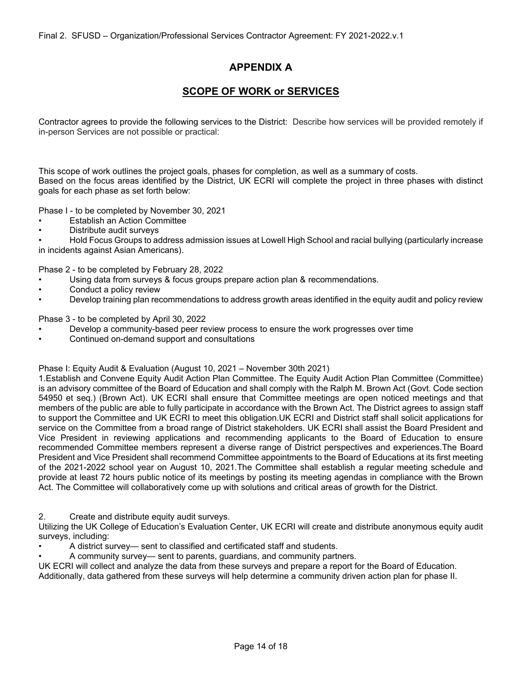# **APPENDIX A**

# **SCOPE OF WORK or SERVICES**

Contractor agrees to provide the following services to the District: Describe how services will be provided remotely if in-person Services are not possible or practical:

This scope of work outlines the project goals, phases for completion, as well as a summary of costs. Based on the focus areas identified by the District, UK ECRI will complete the project in three phases with distinct goals for each phase as set forth below:

Phase I - to be completed by November 30, 2021

- Establish an Action Committee
- Distribute audit surveys

• Hold Focus Groups to address admission issues at Lowell High School and racial bullying (particularly increase in incidents against Asian Americans).

Phase 2 - to be completed by February 28, 2022

- Using data from surveys & focus groups prepare action plan & recommendations.
- Conduct a policy review
- Develop training plan recommendations to address growth areas identified in the equity audit and policy review

Phase 3 - to be completed by April 30, 2022

- Develop a community-based peer review process to ensure the work progresses over time
- Continued on-demand support and consultations

# Phase I: Equity Audit & Evaluation (August 10, 2021 – November 30th 2021)

1.Establish and Convene Equity Audit Action Plan Committee. The Equity Audit Action Plan Committee (Committee) is an advisory committee of the Board of Education and shall comply with the Ralph M. Brown Act (Govt. Code section 54950 et seq.) (Brown Act). UK ECRI shall ensure that Committee meetings are open noticed meetings and that members of the public are able to fully participate in accordance with the Brown Act. The District agrees to assign staff to support the Committee and UK ECRI to meet this obligation.UK ECRI and District staff shall solicit applications for service on the Committee from a broad range of District stakeholders. UK ECRI shall assist the Board President and Vice President in reviewing applications and recommending applicants to the Board of Education to ensure recommended Committee members represent a diverse range of District perspectives and experiences.The Board President and Vice President shall recommend Committee appointments to the Board of Educations at its first meeting of the 2021-2022 school year on August 10, 2021.The Committee shall establish a regular meeting schedule and provide at least 72 hours public notice of its meetings by posting its meeting agendas in compliance with the Brown Act. The Committee will collaboratively come up with solutions and critical areas of growth for the District.

2. Create and distribute equity audit surveys.

Utilizing the UK College of Education's Evaluation Center, UK ECRI will create and distribute anonymous equity audit surveys, including:

• A district survey— sent to classified and certificated staff and students.

• A community survey— sent to parents, guardians, and community partners.

UK ECRI will collect and analyze the data from these surveys and prepare a report for the Board of Education. Additionally, data gathered from these surveys will help determine a community driven action plan for phase II.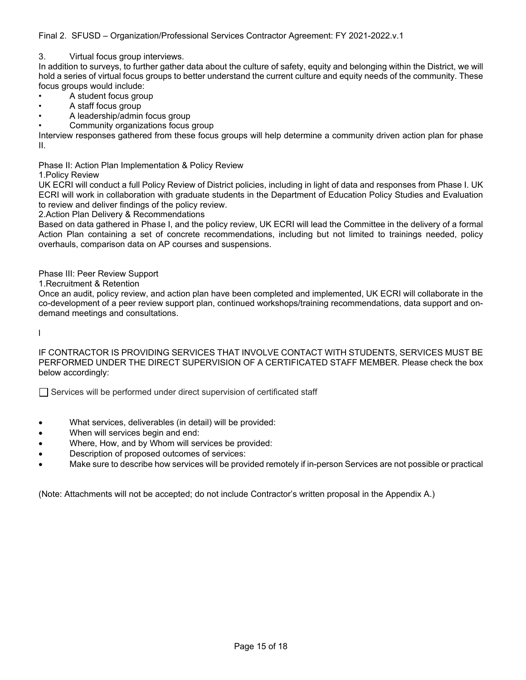Final 2. SFUSD – Organization/Professional Services Contractor Agreement: FY 2021-2022.v.1

3. Virtual focus group interviews.

In addition to surveys, to further gather data about the culture of safety, equity and belonging within the District, we will hold a series of virtual focus groups to better understand the current culture and equity needs of the community. These focus groups would include:

- A student focus group
- A staff focus group
- A leadership/admin focus group
- Community organizations focus group

Interview responses gathered from these focus groups will help determine a community driven action plan for phase II.

Phase II: Action Plan Implementation & Policy Review

#### 1.Policy Review

UK ECRI will conduct a full Policy Review of District policies, including in light of data and responses from Phase I. UK ECRI will work in collaboration with graduate students in the Department of Education Policy Studies and Evaluation to review and deliver findings of the policy review.

2.Action Plan Delivery & Recommendations

Based on data gathered in Phase I, and the policy review, UK ECRI will lead the Committee in the delivery of a formal Action Plan containing a set of concrete recommendations, including but not limited to trainings needed, policy overhauls, comparison data on AP courses and suspensions.

Phase III: Peer Review Support

1.Recruitment & Retention

Once an audit, policy review, and action plan have been completed and implemented, UK ECRI will collaborate in the co-development of a peer review support plan, continued workshops/training recommendations, data support and ondemand meetings and consultations.

l

IF CONTRACTOR IS PROVIDING SERVICES THAT INVOLVE CONTACT WITH STUDENTS, SERVICES MUST BE PERFORMED UNDER THE DIRECT SUPERVISION OF A CERTIFICATED STAFF MEMBER. Please check the box below accordingly:

Services will be performed under direct supervision of certificated staff

- What services, deliverables (in detail) will be provided:
- When will services begin and end:
- Where, How, and by Whom will services be provided:
- Description of proposed outcomes of services:
- Make sure to describe how services will be provided remotely if in-person Services are not possible or practical

(Note: Attachments will not be accepted; do not include Contractor's written proposal in the Appendix A.)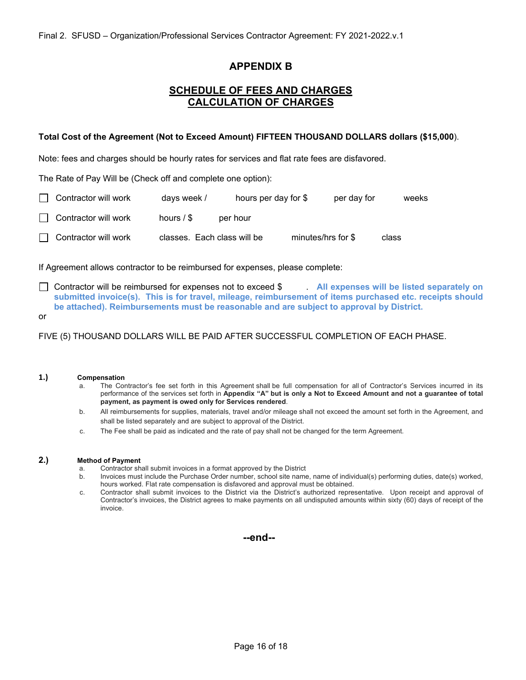# **APPENDIX B**

# **SCHEDULE OF FEES AND CHARGES CALCULATION OF CHARGES**

#### **Total Cost of the Agreement (Not to Exceed Amount) FIFTEEN THOUSAND DOLLARS dollars (\$15,000**).

Note: fees and charges should be hourly rates for services and flat rate fees are disfavored.

The Rate of Pay Will be (Check off and complete one option):

| $\Box$ Contractor will work | days week /                 | hours per day for \$ |                    | per day for |       | weeks |
|-----------------------------|-----------------------------|----------------------|--------------------|-------------|-------|-------|
| <b>Contractor will work</b> | hours $/$ \$                | per hour             |                    |             |       |       |
| $\Box$ Contractor will work | classes. Each class will be |                      | minutes/hrs for \$ |             | class |       |

If Agreement allows contractor to be reimbursed for expenses, please complete:

- Contractor will be reimbursed for expenses not to exceed \$ . **All expenses will be listed separately on submitted invoice(s). This is for travel, mileage, reimbursement of items purchased etc. receipts should be attached). Reimbursements must be reasonable and are subject to approval by District.**
- or

FIVE (5) THOUSAND DOLLARS WILL BE PAID AFTER SUCCESSFUL COMPLETION OF EACH PHASE.

#### **1.) Compensation**

- a. The Contractor's fee set forth in this Agreement shall be full compensation for all of Contractor's Services incurred in its performance of the services set forth in **Appendix "A" but is only a Not to Exceed Amount and not a guarantee of total payment, as payment is owed only for Services rendered**.
- b. All reimbursements for supplies, materials, travel and/or mileage shall not exceed the amount set forth in the Agreement, and shall be listed separately and are subject to approval of the District.
- c. The Fee shall be paid as indicated and the rate of pay shall not be changed for the term Agreement.

#### **2.) Method of Payment**

- a. Contractor shall submit invoices in a format approved by the District
- b. Invoices must include the Purchase Order number, school site name, name of individual(s) performing duties, date(s) worked, hours worked. Flat rate compensation is disfavored and approval must be obtained.
- c. Contractor shall submit invoices to the District via the District's authorized representative. Upon receipt and approval of Contractor's invoices, the District agrees to make payments on all undisputed amounts within sixty (60) days of receipt of the invoice.

**--end--**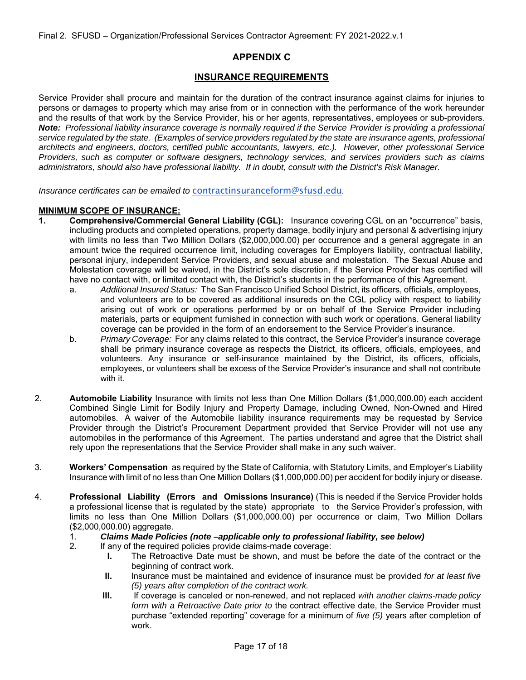# **APPENDIX C**

# **INSURANCE REQUIREMENTS**

Service Provider shall procure and maintain for the duration of the contract insurance against claims for injuries to persons or damages to property which may arise from or in connection with the performance of the work hereunder and the results of that work by the Service Provider, his or her agents, representatives, employees or sub-providers. *Note: Professional liability insurance coverage is normally required if the Service Provider is providing a professional service regulated by the state. (Examples of service providers regulated by the state are insurance agents, professional architects and engineers, doctors, certified public accountants, lawyers, etc.). However, other professional Service Providers, such as computer or software designers, technology services, and services providers such as claims administrators, should also have professional liability. If in doubt, consult with the District's Risk Manager.* 

*Insurance certificates can be emailed to* contractinsuranceform@sfusd.edu*.* 

#### **MINIMUM SCOPE OF INSURANCE:**

- **1. Comprehensive/Commercial General Liability (CGL):** Insurance covering CGL on an "occurrence" basis, including products and completed operations, property damage, bodily injury and personal & advertising injury with limits no less than Two Million Dollars (\$2,000,000.00) per occurrence and a general aggregate in an amount twice the required occurrence limit, including coverages for Employers liability, contractual liability, personal injury, independent Service Providers, and sexual abuse and molestation. The Sexual Abuse and Molestation coverage will be waived, in the District's sole discretion, if the Service Provider has certified will have no contact with, or limited contact with, the District's students in the performance of this Agreement.
	- a. *Additional Insured Status:* The San Francisco Unified School District, its officers, officials, employees, and volunteers are to be covered as additional insureds on the CGL policy with respect to liability arising out of work or operations performed by or on behalf of the Service Provider including materials, parts or equipment furnished in connection with such work or operations. General liability coverage can be provided in the form of an endorsement to the Service Provider's insurance.
	- b. *Primary Coverage:* For any claims related to this contract, the Service Provider's insurance coverage shall be primary insurance coverage as respects the District, its officers, officials, employees, and volunteers. Any insurance or self-insurance maintained by the District, its officers, officials, employees, or volunteers shall be excess of the Service Provider's insurance and shall not contribute with it.
- 2. **Automobile Liability** Insurance with limits not less than One Million Dollars (\$1,000,000.00) each accident Combined Single Limit for Bodily Injury and Property Damage, including Owned, Non-Owned and Hired automobiles. A waiver of the Automobile liability insurance requirements may be requested by Service Provider through the District's Procurement Department provided that Service Provider will not use any automobiles in the performance of this Agreement. The parties understand and agree that the District shall rely upon the representations that the Service Provider shall make in any such waiver.
- 3. **Workers' Compensation** as required by the State of California, with Statutory Limits, and Employer's Liability Insurance with limit of no less than One Million Dollars (\$1,000,000.00) per accident for bodily injury or disease.
- 4. **Professional Liability (Errors and Omissions Insurance)** (This is needed if the Service Provider holds a professional license that is regulated by the state) appropriate to the Service Provider's profession, with limits no less than One Million Dollars (\$1,000,000.00) per occurrence or claim, Two Million Dollars (\$2,000,000.00) aggregate.
	- 1. *Claims Made Policies (note –applicable only to professional liability, see below)*
	- 2. If any of the required policies provide claims-made coverage:
		- **I.** The Retroactive Date must be shown, and must be before the date of the contract or the beginning of contract work.
		- **II.** Insurance must be maintained and evidence of insurance must be provided *for at least five (5) years after completion of the contract work.*
		- **III.** If coverage is canceled or non-renewed, and not replaced *with another claims-made policy form with a Retroactive Date prior to* the contract effective date, the Service Provider must purchase "extended reporting" coverage for a minimum of *five (5)* years after completion of work.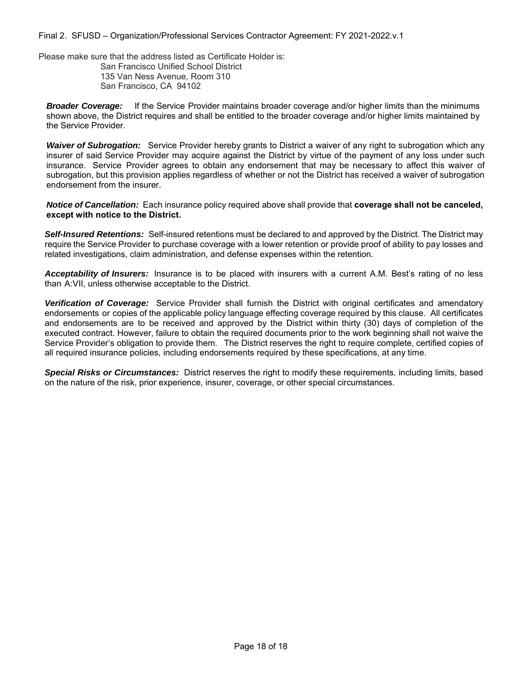Final 2. SFUSD – Organization/Professional Services Contractor Agreement: FY 2021-2022.v.1

Please make sure that the address listed as Certificate Holder is:

San Francisco Unified School District 135 Van Ness Avenue, Room 310 San Francisco, CA 94102

*Broader Coverage:* If the Service Provider maintains broader coverage and/or higher limits than the minimums shown above, the District requires and shall be entitled to the broader coverage and/or higher limits maintained by the Service Provider.

*Waiver of Subrogation:* Service Provider hereby grants to District a waiver of any right to subrogation which any insurer of said Service Provider may acquire against the District by virtue of the payment of any loss under such insurance. Service Provider agrees to obtain any endorsement that may be necessary to affect this waiver of subrogation, but this provision applies regardless of whether or not the District has received a waiver of subrogation endorsement from the insurer.

*Notice of Cancellation:* Each insurance policy required above shall provide that **coverage shall not be canceled, except with notice to the District.** 

*Self-Insured Retentions:* Self-insured retentions must be declared to and approved by the District. The District may require the Service Provider to purchase coverage with a lower retention or provide proof of ability to pay losses and related investigations, claim administration, and defense expenses within the retention.

*Acceptability of Insurers:* Insurance is to be placed with insurers with a current A.M. Best's rating of no less than A:VII, unless otherwise acceptable to the District.

*Verification of Coverage:* Service Provider shall furnish the District with original certificates and amendatory endorsements or copies of the applicable policy language effecting coverage required by this clause. All certificates and endorsements are to be received and approved by the District within thirty (30) days of completion of the executed contract. However, failure to obtain the required documents prior to the work beginning shall not waive the Service Provider's obligation to provide them. The District reserves the right to require complete, certified copies of all required insurance policies, including endorsements required by these specifications, at any time.

*Special Risks or Circumstances:* District reserves the right to modify these requirements, including limits, based on the nature of the risk, prior experience, insurer, coverage, or other special circumstances.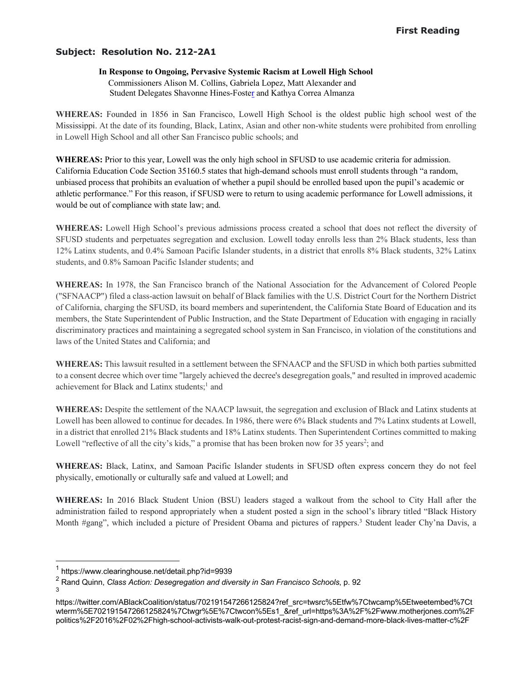# **Subject: Resolution No. 212-2A1**

# **In Response to Ongoing, Pervasive Systemic Racism at Lowell High School**

 Commissioners Alison M. Collins, Gabriela Lopez, Matt Alexander and Student Delegates Shavonne Hines-Foster and Kathya Correa Almanza

**WHEREAS:** Founded in 1856 in San Francisco, Lowell High School is the oldest public high school west of the Mississippi. At the date of its founding, Black, Latinx, Asian and other non-white students were prohibited from enrolling in Lowell High School and all other San Francisco public schools; and

**WHEREAS:** Prior to this year, Lowell was the only high school in SFUSD to use academic criteria for admission. California Education Code Section 35160.5 states that high-demand schools must enroll students through "a random, unbiased process that prohibits an evaluation of whether a pupil should be enrolled based upon the pupil's academic or athletic performance." For this reason, if SFUSD were to return to using academic performance for Lowell admissions, it would be out of compliance with state law; and.

**WHEREAS:** Lowell High School's previous admissions process created a school that does not reflect the diversity of SFUSD students and perpetuates segregation and exclusion. Lowell today enrolls less than 2% Black students, less than 12% Latinx students, and 0.4% Samoan Pacific Islander students, in a district that enrolls 8% Black students, 32% Latinx students, and 0.8% Samoan Pacific Islander students; and

**WHEREAS:** In 1978, the San Francisco branch of the National Association for the Advancement of Colored People ("SFNAACP") filed a class-action lawsuit on behalf of Black families with the U.S. District Court for the Northern District of California, charging the SFUSD, its board members and superintendent, the California State Board of Education and its members, the State Superintendent of Public Instruction, and the State Department of Education with engaging in racially discriminatory practices and maintaining a segregated school system in San Francisco, in violation of the constitutions and laws of the United States and California; and

**WHEREAS:** This lawsuit resulted in a settlement between the SFNAACP and the SFUSD in which both parties submitted to a consent decree which over time "largely achieved the decree's desegregation goals," and resulted in improved academic achievement for Black and Latinx students;<sup>1</sup> and

**WHEREAS:** Despite the settlement of the NAACP lawsuit, the segregation and exclusion of Black and Latinx students at Lowell has been allowed to continue for decades. In 1986, there were 6% Black students and 7% Latinx students at Lowell, in a district that enrolled 21% Black students and 18% Latinx students. Then Superintendent Cortines committed to making Lowell "reflective of all the city's kids," a promise that has been broken now for 35 years<sup>2</sup>; and

**WHEREAS:** Black, Latinx, and Samoan Pacific Islander students in SFUSD often express concern they do not feel physically, emotionally or culturally safe and valued at Lowell; and

**WHEREAS:** In 2016 Black Student Union (BSU) leaders staged a walkout from the school to City Hall after the administration failed to respond appropriately when a student posted a sign in the school's library titled "Black History Month #gang", which included a picture of President Obama and pictures of rappers.<sup>3</sup> Student leader Chy'na Davis, a

<sup>&</sup>lt;sup>1</sup> https://www.clearinghouse.net/detail.php?id=9939

<sup>2</sup> Rand Quinn, *Class Action: Desegregation and diversity in San Francisco Schools*, p. 92 3

https://twitter.com/ABlackCoalition/status/702191547266125824?ref\_src=twsrc%5Etfw%7Ctwcamp%5Etweetembed%7Ct wterm%5E702191547266125824%7Ctwgr%5E%7Ctwcon%5Es1\_&ref\_url=https%3A%2F%2Fwww.motherjones.com%2F politics%2F2016%2F02%2Fhigh-school-activists-walk-out-protest-racist-sign-and-demand-more-black-lives-matter-c%2F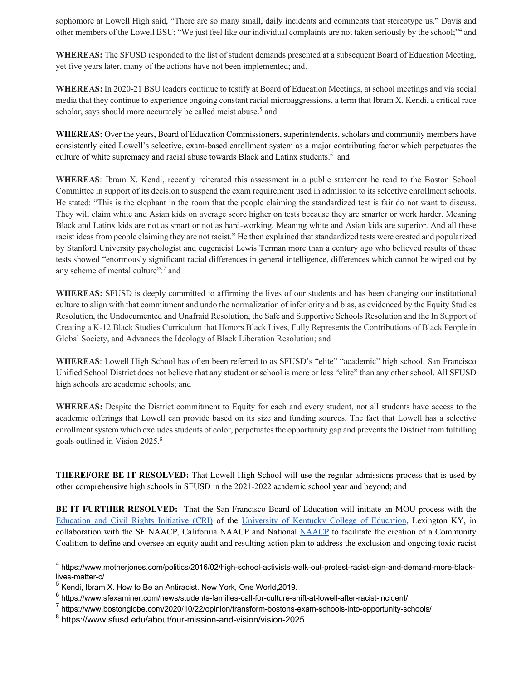sophomore at Lowell High said, "There are so many small, daily incidents and comments that stereotype us." Davis and other members of the Lowell BSU: "We just feel like our individual complaints are not taken seriously by the school;"4 and

**WHEREAS:** The SFUSD responded to the list of student demands presented at a subsequent Board of Education Meeting, yet five years later, many of the actions have not been implemented; and.

**WHEREAS:** In 2020-21 BSU leaders continue to testify at Board of Education Meetings, at school meetings and via social media that they continue to experience ongoing constant racial microaggressions, a term that Ibram X. Kendi, a critical race scholar, says should more accurately be called racist abuse.<sup>5</sup> and

**WHEREAS:** Over the years, Board of Education Commissioners, superintendents, scholars and community members have consistently cited Lowell's selective, exam-based enrollment system as a major contributing factor which perpetuates the culture of white supremacy and racial abuse towards Black and Latinx students.<sup>6</sup> and

**WHEREAS**: Ibram X. Kendi, recently reiterated this assessment in a public statement he read to the Boston School Committee in support of its decision to suspend the exam requirement used in admission to its selective enrollment schools. He stated: "This is the elephant in the room that the people claiming the standardized test is fair do not want to discuss. They will claim white and Asian kids on average score higher on tests because they are smarter or work harder. Meaning Black and Latinx kids are not as smart or not as hard-working. Meaning white and Asian kids are superior. And all these racist ideas from people claiming they are not racist." He then explained that standardized tests were created and popularized by Stanford University psychologist and eugenicist Lewis Terman more than a century ago who believed results of these tests showed "enormously significant racial differences in general intelligence, differences which cannot be wiped out by any scheme of mental culture":7 and

**WHEREAS:** SFUSD is deeply committed to affirming the lives of our students and has been changing our institutional culture to align with that commitment and undo the normalization of inferiority and bias, as evidenced by the Equity Studies Resolution, the Undocumented and Unafraid Resolution, the Safe and Supportive Schools Resolution and the In Support of Creating a K-12 Black Studies Curriculum that Honors Black Lives, Fully Represents the Contributions of Black People in Global Society, and Advances the Ideology of Black Liberation Resolution; and

**WHEREAS**: Lowell High School has often been referred to as SFUSD's "elite" "academic" high school. San Francisco Unified School District does not believe that any student or school is more or less "elite" than any other school. All SFUSD high schools are academic schools; and

**WHEREAS:** Despite the District commitment to Equity for each and every student, not all students have access to the academic offerings that Lowell can provide based on its size and funding sources. The fact that Lowell has a selective enrollment system which excludes students of color, perpetuates the opportunity gap and prevents the District from fulfilling goals outlined in Vision 2025.8

**THEREFORE BE IT RESOLVED:** That Lowell High School will use the regular admissions process that is used by other comprehensive high schools in SFUSD in the 2021-2022 academic school year and beyond; and

**BE IT FURTHER RESOLVED:** That the San Francisco Board of Education will initiate an MOU process with the Education and Civil Rights Initiative (CRI) of the University of Kentucky College of Education, Lexington KY, in collaboration with the SF NAACP, California NAACP and National NAACP to facilitate the creation of a Community Coalition to define and oversee an equity audit and resulting action plan to address the exclusion and ongoing toxic racist

<sup>&</sup>lt;sup>4</sup> https://www.motheriones.com/politics/2016/02/high-school-activists-walk-out-protest-racist-sign-and-demand-more-blacklives-matter-c/

<sup>&</sup>lt;sup>5</sup> Kendi, Ibram X. How to Be an Antiracist. New York, One World, 2019.

 $6$  https://www.sfexaminer.com/news/students-families-call-for-culture-shift-at-lowell-after-racist-incident/

<sup>7</sup> https://www.bostonglobe.com/2020/10/22/opinion/transform-bostons-exam-schools-into-opportunity-schools/

<sup>8</sup> https://www.sfusd.edu/about/our-mission-and-vision/vision-2025